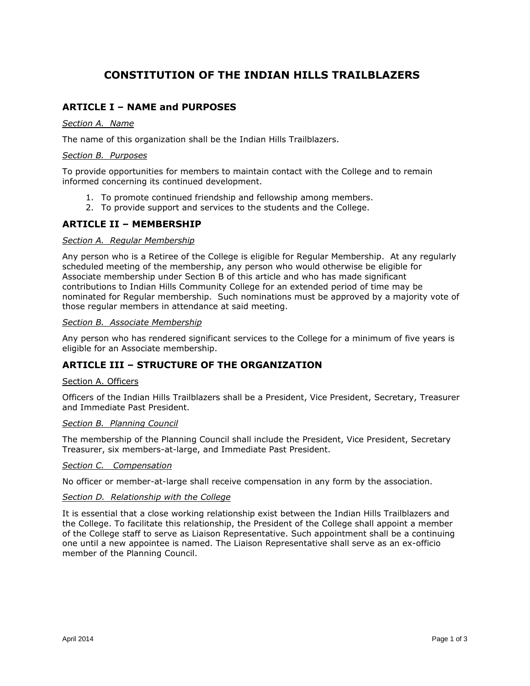## **CONSTITUTION OF THE INDIAN HILLS TRAILBLAZERS**

## **ARTICLE I – NAME and PURPOSES**

#### *Section A. Name*

The name of this organization shall be the Indian Hills Trailblazers.

#### *Section B. Purposes*

To provide opportunities for members to maintain contact with the College and to remain informed concerning its continued development.

- 1. To promote continued friendship and fellowship among members.
- 2. To provide support and services to the students and the College.

## **ARTICLE II – MEMBERSHIP**

#### *Section A. Regular Membership*

Any person who is a Retiree of the College is eligible for Regular Membership. At any regularly scheduled meeting of the membership, any person who would otherwise be eligible for Associate membership under Section B of this article and who has made significant contributions to Indian Hills Community College for an extended period of time may be nominated for Regular membership. Such nominations must be approved by a majority vote of those regular members in attendance at said meeting.

#### *Section B. Associate Membership*

Any person who has rendered significant services to the College for a minimum of five years is eligible for an Associate membership.

## **ARTICLE III – STRUCTURE OF THE ORGANIZATION**

#### Section A. Officers

Officers of the Indian Hills Trailblazers shall be a President, Vice President, Secretary, Treasurer and Immediate Past President.

#### *Section B. Planning Council*

The membership of the Planning Council shall include the President, Vice President, Secretary Treasurer, six members-at-large, and Immediate Past President.

#### *Section C. Compensation*

No officer or member-at-large shall receive compensation in any form by the association.

#### *Section D. Relationship with the College*

It is essential that a close working relationship exist between the Indian Hills Trailblazers and the College. To facilitate this relationship, the President of the College shall appoint a member of the College staff to serve as Liaison Representative. Such appointment shall be a continuing one until a new appointee is named. The Liaison Representative shall serve as an ex-officio member of the Planning Council.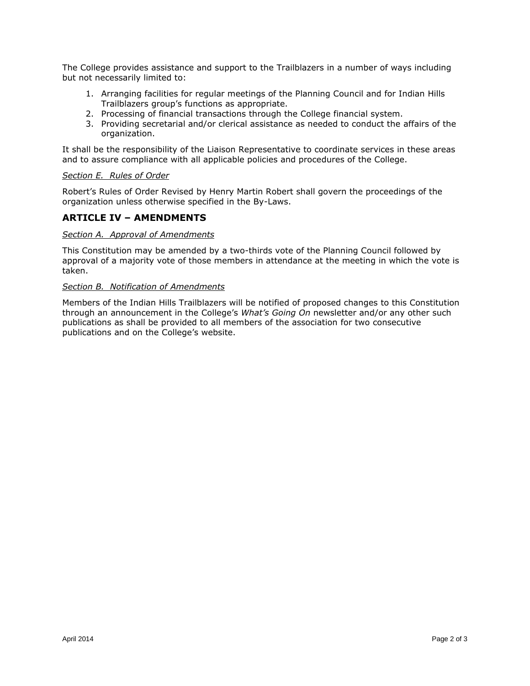The College provides assistance and support to the Trailblazers in a number of ways including but not necessarily limited to:

- 1. Arranging facilities for regular meetings of the Planning Council and for Indian Hills Trailblazers group's functions as appropriate.
- 2. Processing of financial transactions through the College financial system.
- 3. Providing secretarial and/or clerical assistance as needed to conduct the affairs of the organization.

It shall be the responsibility of the Liaison Representative to coordinate services in these areas and to assure compliance with all applicable policies and procedures of the College.

#### *Section E. Rules of Order*

Robert's Rules of Order Revised by Henry Martin Robert shall govern the proceedings of the organization unless otherwise specified in the By-Laws.

## **ARTICLE IV – AMENDMENTS**

#### *Section A. Approval of Amendments*

This Constitution may be amended by a two-thirds vote of the Planning Council followed by approval of a majority vote of those members in attendance at the meeting in which the vote is taken.

#### *Section B. Notification of Amendments*

Members of the Indian Hills Trailblazers will be notified of proposed changes to this Constitution through an announcement in the College's *What's Going On* newsletter and/or any other such publications as shall be provided to all members of the association for two consecutive publications and on the College's website.